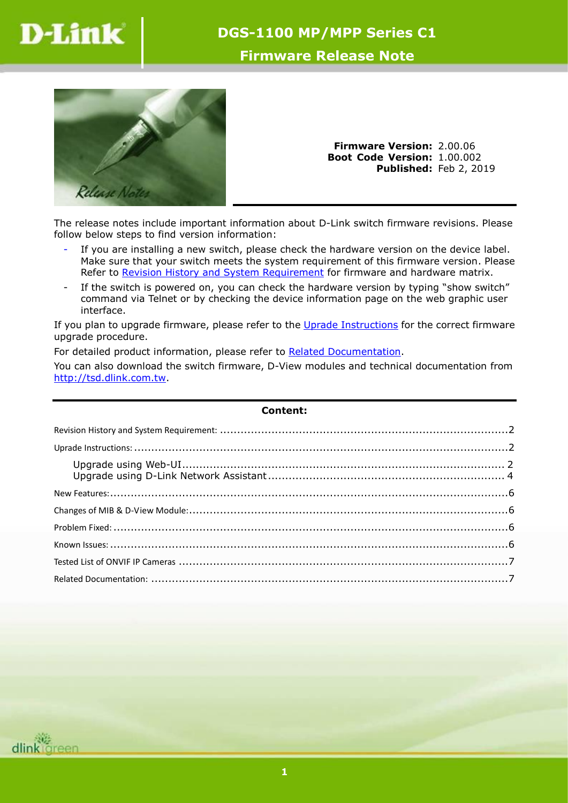

## **DGS-1100 MP/MPP Series C1**

## **Firmware Release Note**



**Firmware Version:** 2.00.06 **Boot Code Version:** 1.00.002 **Published:** Feb 2, 2019

The release notes include important information about D-Link switch firmware revisions. Please follow below steps to find version information:

- If you are installing a new switch, please check the hardware version on the device label. Make sure that your switch meets the system requirement of this firmware version. Please Refer to [Revision History and System Requirement](#page-1-0) for firmware and hardware matrix.
- If the switch is powered on, you can check the hardware version by typing "show switch" command via Telnet or by checking the device information page on the web graphic user interface.

If you plan to upgrade firmware, please refer to the Uprade [Instructions](#page-1-1) for the correct firmware upgrade procedure.

For detailed product information, please refer to [Related Documentation.](#page-6-0)

You can also download the switch firmware, D-View modules and technical documentation from [http://tsd.dlink.com.tw.](http://tsd.dlink.com.tw/)

| <b>Content:</b> |  |
|-----------------|--|
|                 |  |
|                 |  |
|                 |  |
|                 |  |
|                 |  |
|                 |  |
|                 |  |
|                 |  |
|                 |  |

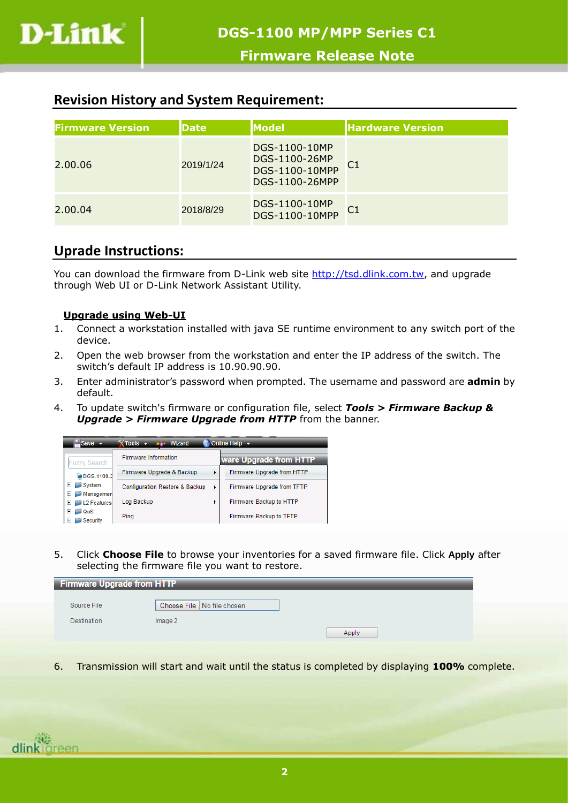

## <span id="page-1-0"></span>**Revision History and System Requirement:**

| <b>Firmware Version</b> | <b>Date</b> | <b>Model</b>                                                       | <b>Hardware Version</b> |
|-------------------------|-------------|--------------------------------------------------------------------|-------------------------|
| 2.00.06                 | 2019/1/24   | DGS-1100-10MP<br>DGS-1100-26MP<br>DGS-1100-10MPP<br>DGS-1100-26MPP | $\overline{C1}$         |
| 2.00.04                 | 2018/8/29   | DGS-1100-10MP<br>DGS-1100-10MPP                                    | $\overline{C1}$         |

# <span id="page-1-1"></span>**Uprade Instructions:**

You can download the firmware from D-Link web site [http://tsd.dlink.com.tw,](http://tsd.dlink.com.tw/) and upgrade through Web UI or D-Link Network Assistant Utility.

### <span id="page-1-2"></span>**Upgrade using Web-UI**

- 1. Connect a workstation installed with java SE runtime environment to any switch port of the device.
- 2. Open the web browser from the workstation and enter the IP address of the switch. The switch's default IP address is 10.90.90.90.
- 3. Enter administrator's password when prompted. The username and password are **admin** by default.
- 4. To update switch's firmware or configuration file, select *Tools > Firmware Backup & Upgrade > Firmware Upgrade from HTTP* from the banner.



5. Click **Choose File** to browse your inventories for a saved firmware file. Click **Apply** after selecting the firmware file you want to restore.

| <b>Firmware Upgrade from HTTP</b> |                            |  |  |  |  |  |
|-----------------------------------|----------------------------|--|--|--|--|--|
|                                   |                            |  |  |  |  |  |
| Source File                       | Choose File No file chosen |  |  |  |  |  |
| Destination                       | Image 2                    |  |  |  |  |  |
|                                   |                            |  |  |  |  |  |
|                                   | Apply                      |  |  |  |  |  |

6. Transmission will start and wait until the status is completed by displaying **100%** complete.

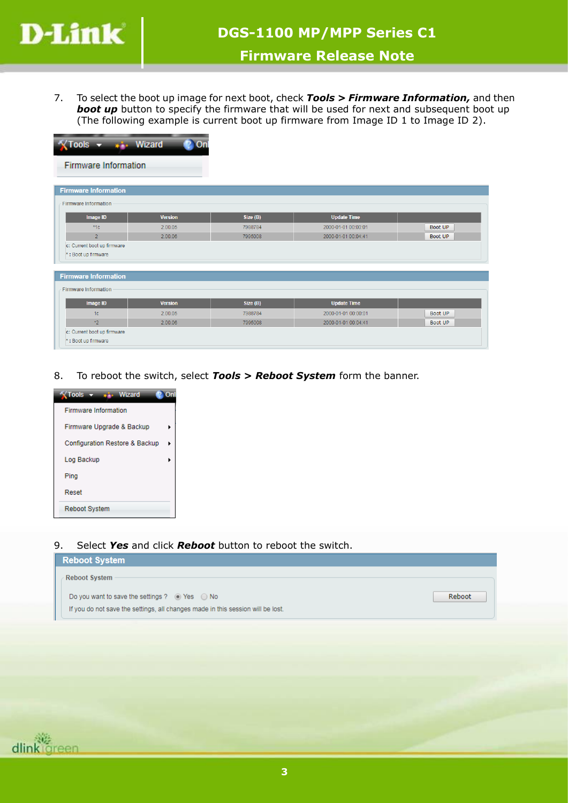

7. To select the boot up image for next boot, check *Tools > Firmware Information,* and then **boot up** button to specify the firmware that will be used for next and subsequent boot up (The following example is current boot up firmware from Image ID 1 to Image ID 2).

| Tools v six Wizard                                 | <b>On</b>      |          |                     |         |
|----------------------------------------------------|----------------|----------|---------------------|---------|
| Firmware Information                               |                |          |                     |         |
| <b>Firmware Information</b>                        |                |          |                     |         |
| <b>Firmware Information</b>                        |                |          |                     |         |
| Image ID                                           | <b>Version</b> | Size (B) | <b>Update Time</b>  |         |
| $*1c$                                              | 2.00.05        | 7988784  | 2000-01-01 00:00:01 | Boot UP |
| $\overline{2}$                                     | 2.00.06        | 7995008  | 2000-01-01 00:04:41 | Boot UP |
| c: Current boot up firmware<br>*: Boot up firmware |                |          |                     |         |
| <b>Firmware Information</b>                        |                |          |                     |         |
| <b>Firmware Information</b>                        |                |          |                     |         |
| Image ID                                           | <b>Version</b> | Size (B) | <b>Update Time</b>  |         |
| 1 <sub>c</sub>                                     | 2.00.05        | 7988784  | 2000-01-01 00:00:01 | Boot UP |
| $2^*$                                              | 2.00.06        | 7995008  | 2000-01-01 00:04:41 | Boot UP |
| c: Current boot up firmware<br>*: Boot up firmware |                |          |                     |         |

8. To reboot the switch, select *Tools > Reboot System* form the banner.



9. Select *Yes* and click *Reboot* button to reboot the switch.

| <b>Reboot System</b>                                                            |        |
|---------------------------------------------------------------------------------|--------|
| <b>Reboot System</b>                                                            |        |
| Do you want to save the settings ? $\odot$ Yes $\odot$ No                       | Reboot |
| If you do not save the settings, all changes made in this session will be lost. |        |

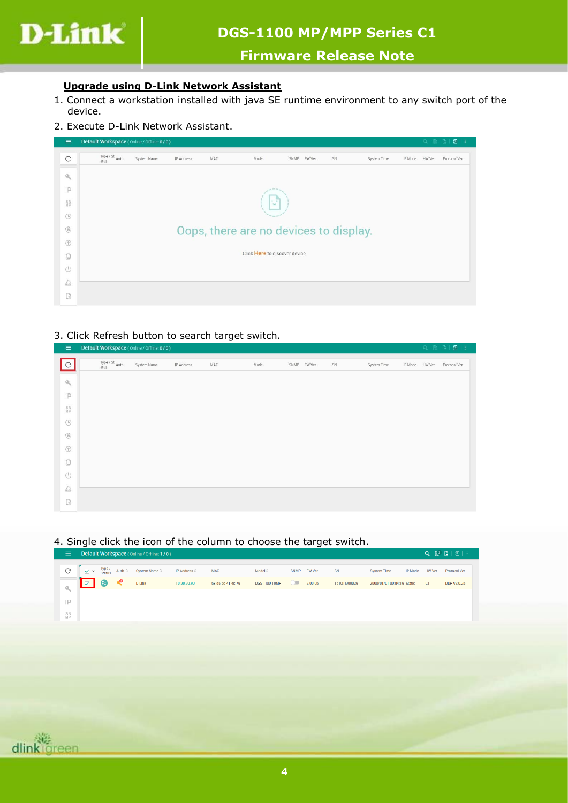

# **DGS-1100 MP/MPP Series C1**

## **Firmware Release Note**

#### <span id="page-3-0"></span>**Upgrade using D-Link Network Assistant**

- 1. Connect a workstation installed with java SE runtime environment to any switch port of the device.
- 2. Execute D-Link Network Assistant.

| $\equiv$              | Default Workspace (Online / Offline: 0/0) |             |            |                                        |                                |                 |    |             |         |         | Q 最 图 图 1     |
|-----------------------|-------------------------------------------|-------------|------------|----------------------------------------|--------------------------------|-----------------|----|-------------|---------|---------|---------------|
| $\mathcal{C}$         | Type / St Auth.<br>atus                   | System Name | IP Address | MAC                                    | Model                          | SNMP<br>FW Ver. | SN | System Time | IP Mode | HW Ver. | Protocol Ver. |
| $\Theta_{\rm{f}_2}$   |                                           |             |            |                                        |                                |                 |    |             |         |         |               |
| IP                    |                                           |             |            |                                        |                                |                 |    |             |         |         |               |
| SN <sub>NP</sub>      |                                           |             |            |                                        | $\sim$<br>$\sim$               |                 |    |             |         |         |               |
| $\odot$               |                                           |             |            |                                        |                                |                 |    |             |         |         |               |
| $\circledcirc$        |                                           |             |            | Oops, there are no devices to display. |                                |                 |    |             |         |         |               |
| $^{\circ}$            |                                           |             |            |                                        |                                |                 |    |             |         |         |               |
| O                     |                                           |             |            |                                        | Click Here to discover device. |                 |    |             |         |         |               |
| $\cup$                |                                           |             |            |                                        |                                |                 |    |             |         |         |               |
| $\sum_{n=1}^{\infty}$ |                                           |             |            |                                        |                                |                 |    |             |         |         |               |
| G                     |                                           |             |            |                                        |                                |                 |    |             |         |         |               |

#### 3. Click Refresh button to search target switch.

| $\equiv$                | Default Workspace (Online / Offline: 0 / 0)                                   |             |            |     |       |              |    |             |                 | Q 段 图 目 1     |
|-------------------------|-------------------------------------------------------------------------------|-------------|------------|-----|-------|--------------|----|-------------|-----------------|---------------|
| $\overline{c}$          | $\begin{array}{c}\n\text{Type / St }\text{Auth.} \\ \text{atus}\n\end{array}$ | System Name | IP Address | MAC | Model | SNMP FW Ver. | SN | System Time | IP Mode HW Ver. | Protocol Ver. |
| $\mathbf{0}_q$          |                                                                               |             |            |     |       |              |    |             |                 |               |
| IP                      |                                                                               |             |            |     |       |              |    |             |                 |               |
| S <sub>N</sub>          |                                                                               |             |            |     |       |              |    |             |                 |               |
| $\odot$                 |                                                                               |             |            |     |       |              |    |             |                 |               |
| $\circledcirc$          |                                                                               |             |            |     |       |              |    |             |                 |               |
| $^\circledR$            |                                                                               |             |            |     |       |              |    |             |                 |               |
| Ū                       |                                                                               |             |            |     |       |              |    |             |                 |               |
| $\circlearrowleft$      |                                                                               |             |            |     |       |              |    |             |                 |               |
| $\overline{\mathbb{C}}$ |                                                                               |             |            |     |       |              |    |             |                 |               |
| $\mathbb{D}$            |                                                                               |             |            |     |       |              |    |             |                 |               |

#### 4. Single click the icon of the column to choose the target switch.

| Ξ.                        |                 |     | Default Workspace (Online / Offline: 1/0)                                                                            |             |                   |               |             |         |               |                            |                |         | $\begin{array}{ccc} \mathbf{Q} & \mathbb{E}^3 & \mathbb{E} & \mathbb{E} & \mathbb{E} & \mathbb{E} & \mathbb{E} & \mathbb{E} & \mathbb{E} & \mathbb{E} & \mathbb{E} & \mathbb{E} & \mathbb{E} & \mathbb{E} & \mathbb{E} & \mathbb{E} & \mathbb{E} & \mathbb{E} & \mathbb{E} & \mathbb{E} & \mathbb{E} & \mathbb{E} & \mathbb{E} & \mathbb{E} & \mathbb{E} & \mathbb{E} & \mathbb{E} & \mathbb{E} & \mathbb{E} & \mathbb{E} & \$ |
|---------------------------|-----------------|-----|----------------------------------------------------------------------------------------------------------------------|-------------|-------------------|---------------|-------------|---------|---------------|----------------------------|----------------|---------|--------------------------------------------------------------------------------------------------------------------------------------------------------------------------------------------------------------------------------------------------------------------------------------------------------------------------------------------------------------------------------------------------------------------------------|
| C                         |                 |     | $\boxed{\swarrow}$ $\swarrow$ $\boxed{\text{Type I}}$ Auth. $\degree$ System Name $\degree$ IP Address $\degree$ MAC |             |                   | Model 0       | <b>SNMP</b> | FW Ver. | SN            | <b>System Time</b>         | <b>IP Mode</b> | HW Ver. | Protocol Ver.                                                                                                                                                                                                                                                                                                                                                                                                                  |
| $\mathbf{Q}_{\mathrm{c}}$ | $\boxed{\circ}$ | -63 | <b>D-Link</b>                                                                                                        | 10.90.90.90 | 58-d5-6e-41-4c-76 | DGS-1100-10MP | $\circ$     | 2.00.05 | T5101l9000261 | 2000/01/01 00:04:16 Static |                | C1      | <b>DDP V2 0.26</b>                                                                                                                                                                                                                                                                                                                                                                                                             |
| IP                        |                 |     |                                                                                                                      |             |                   |               |             |         |               |                            |                |         |                                                                                                                                                                                                                                                                                                                                                                                                                                |
| SN<br>MP                  |                 |     |                                                                                                                      |             |                   |               |             |         |               |                            |                |         |                                                                                                                                                                                                                                                                                                                                                                                                                                |

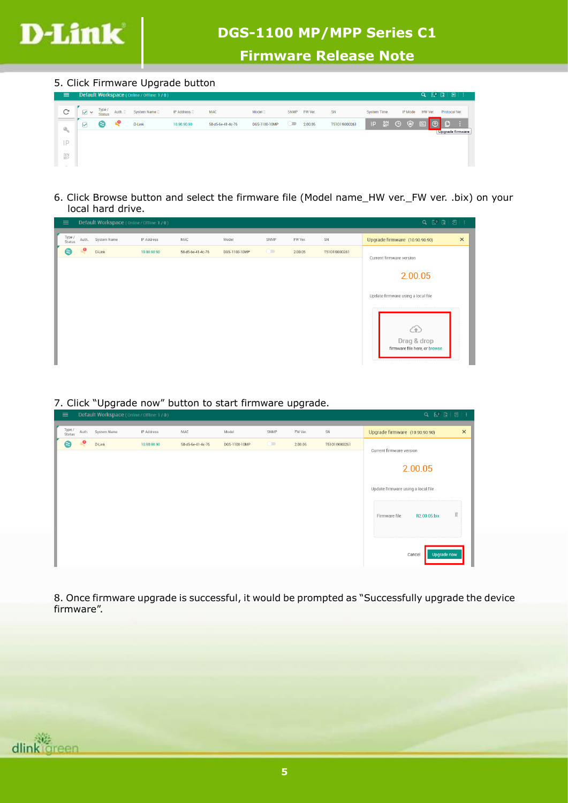

5. Click Firmware Upgrade button

| $\equiv$    |     |                         |         | Default Workspace (Online / Offline: 1 / 0) |                               |                   |               |         |         |               |                    |                                 |                |         | $Q \quad \boxed{\mathbb{R}^3} \quad \boxed{\mathbb{R}} \quad \boxed{\mathbb{R}} \quad \boxed{\mathbb{R}} \quad \boxed{\mathbb{R}}$ |  |
|-------------|-----|-------------------------|---------|---------------------------------------------|-------------------------------|-------------------|---------------|---------|---------|---------------|--------------------|---------------------------------|----------------|---------|------------------------------------------------------------------------------------------------------------------------------------|--|
| C           | ∨ ∨ | Type .<br><b>Status</b> | Auth. C | System Name C                               | IP Address $\hat{\heartsuit}$ | <b>MAC</b>        | Model C       | SNMP    | FW Ver. | SN            | <b>System Time</b> |                                 | <b>IP Mode</b> | HW Ver. | Protocol Ver.                                                                                                                      |  |
| $Q_{\rm L}$ | ⊽   | ❸                       | یه      | <b>D-Link</b>                               | 10.90.90.90                   | 58-d5-6e-41-4c-76 | DGS-1100-10MP | $\circ$ | 2.00.05 | T5101l9000261 |                    | IP $_{MP}^{SN}$ $\odot$ $\odot$ |                | 岡       | Upgrade firmware                                                                                                                   |  |
| 1.17%<br>⊢  |     |                         |         |                                             |                               |                   |               |         |         |               |                    |                                 |                |         |                                                                                                                                    |  |
| SN<br>MP    |     |                         |         |                                             |                               |                   |               |         |         |               |                    |                                 |                |         |                                                                                                                                    |  |

6. Click Browse button and select the firmware file (Model name\_HW ver.\_FW ver. .bix) on your local hard drive.

| $\equiv$         |           | Default Workspace (Online / Offline: 1 / 0) |             |                   |               |         |         |               | $Q \in \mathbb{R}^3 \quad \boxed{2} \quad \boxed{3} \quad \boxed{3} \quad \boxed{4}$ |
|------------------|-----------|---------------------------------------------|-------------|-------------------|---------------|---------|---------|---------------|--------------------------------------------------------------------------------------|
| Type /<br>Status | Auth.     | System Name                                 | IP Address  | MAC               | Model         | SNMP    | FW Ver. | SN            | $\times$<br>Upgrade firmware (10.90.90.90)                                           |
| Ξ                | $\bullet$ | D-Link                                      | 10.90.90.90 | 58-d5-6e-41-4c-76 | DGS-1100-10MP | $\circ$ | 2.00.05 | T5101l9000261 | Current firmware version                                                             |
|                  |           |                                             |             |                   |               |         |         |               |                                                                                      |
|                  |           |                                             |             |                   |               |         |         |               | 2.00.05                                                                              |
|                  |           |                                             |             |                   |               |         |         |               |                                                                                      |
|                  |           |                                             |             |                   |               |         |         |               | Update firmware using a local file                                                   |
|                  |           |                                             |             |                   |               |         |         |               |                                                                                      |
|                  |           |                                             |             |                   |               |         |         |               | क़                                                                                   |
|                  |           |                                             |             |                   |               |         |         |               | Drag & drop                                                                          |
|                  |           |                                             |             |                   |               |         |         |               | firmware file here, or browse                                                        |
|                  |           |                                             |             |                   |               |         |         |               |                                                                                      |

7. Click "Upgrade now" button to start firmware upgrade.

| $=$              |           | Detault workspace (Online / Offline: 170) |             |                   |               |         |         |               | $\begin{array}{ccccccccccccc}\n\mathbf{C} & \mathbf{E} & \mathbf{E} & \mathbf{E} & \mathbf{E} & \mathbf{E} & \mathbf{E} & \mathbf{E} & \mathbf{E} & \mathbf{E} & \mathbf{E} & \mathbf{E} & \mathbf{E} & \mathbf{E} & \mathbf{E} & \mathbf{E} & \mathbf{E} & \mathbf{E} & \mathbf{E} & \mathbf{E} & \mathbf{E} & \mathbf{E} & \mathbf{E} & \mathbf{E} & \mathbf{E} & \mathbf{E} & \mathbf{E} & \mathbf{E} & \mathbf{E} & \mathbf{E}$ |
|------------------|-----------|-------------------------------------------|-------------|-------------------|---------------|---------|---------|---------------|-------------------------------------------------------------------------------------------------------------------------------------------------------------------------------------------------------------------------------------------------------------------------------------------------------------------------------------------------------------------------------------------------------------------------------------|
| Type /<br>Status | Auth.     | System Name                               | IP Address  | MAC               | Model         | SNMP    | FW Ver. | SN            | $\times$<br>Upgrade firmware (10.90.90.90)                                                                                                                                                                                                                                                                                                                                                                                          |
| €                | $\bullet$ | D-Link                                    | 10.90.90.90 | 58-d5-6e-41-4c-76 | DGS-1100-10MP | $\circ$ | 2.00.05 | T5101I9000261 | Current firmware version                                                                                                                                                                                                                                                                                                                                                                                                            |
|                  |           |                                           |             |                   |               |         |         |               | 2.00.05                                                                                                                                                                                                                                                                                                                                                                                                                             |
|                  |           |                                           |             |                   |               |         |         |               | Update firmware using a local file                                                                                                                                                                                                                                                                                                                                                                                                  |
|                  |           |                                           |             |                   |               |         |         |               | $\widehat{\mathbb{U}}$<br>Firmware file<br>R2.00.05.bix                                                                                                                                                                                                                                                                                                                                                                             |
|                  |           |                                           |             |                   |               |         |         |               | Upgrade now<br>Cancel                                                                                                                                                                                                                                                                                                                                                                                                               |

8. Once firmware upgrade is successful, it would be prompted as "Successfully upgrade the device firmware".

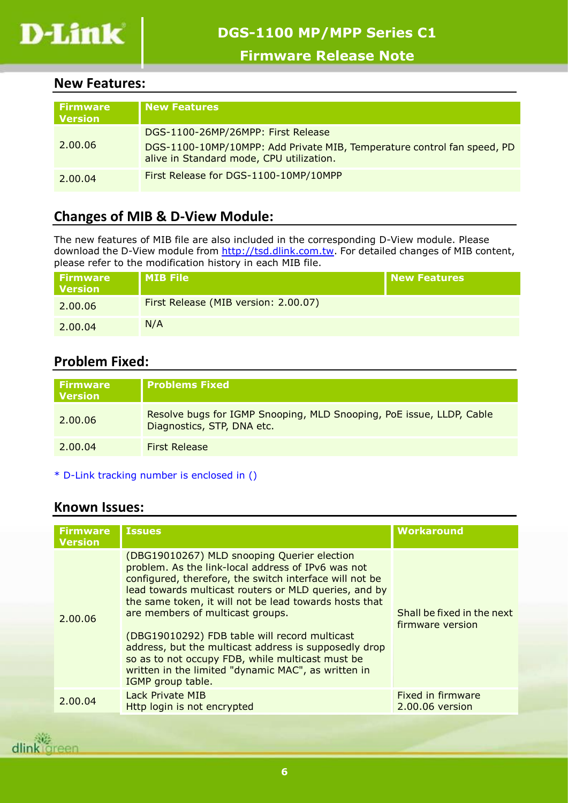

## <span id="page-5-0"></span>**New Features:**

| <b>Firmware</b><br><b>Version</b> | <b>New Features</b>                                                                                                                                       |
|-----------------------------------|-----------------------------------------------------------------------------------------------------------------------------------------------------------|
| 2.00.06                           | DGS-1100-26MP/26MPP: First Release<br>DGS-1100-10MP/10MPP: Add Private MIB, Temperature control fan speed, PD<br>alive in Standard mode, CPU utilization. |
| 2.00.04                           | First Release for DGS-1100-10MP/10MPP                                                                                                                     |

# <span id="page-5-1"></span>**Changes of MIB & D-View Module:**

The new features of MIB file are also included in the corresponding D-View module. Please download the D-View module from [http://tsd.dlink.com.tw.](http://tsd.dlink.com.tw/) For detailed changes of MIB content, please refer to the modification history in each MIB file.

| <b>Firmware</b><br><b>Version</b> | l MIB File                           | New Features |
|-----------------------------------|--------------------------------------|--------------|
| 2.00.06                           | First Release (MIB version: 2.00.07) |              |
| 2.00.04                           | N/A                                  |              |

## <span id="page-5-2"></span>**Problem Fixed:**

| <b>Firmware</b><br><b>Version</b> | <b>Problems Fixed</b>                                                                              |
|-----------------------------------|----------------------------------------------------------------------------------------------------|
| 2.00.06                           | Resolve bugs for IGMP Snooping, MLD Snooping, PoE issue, LLDP, Cable<br>Diagnostics, STP, DNA etc. |
| 2.00.04                           | <b>First Release</b>                                                                               |

\* D-Link tracking number is enclosed in ()

## <span id="page-5-3"></span>**Known Issues:**

| <b>Firmware</b><br><b>Version</b> | <b>Issues</b>                                                                                                                                                                                                                                                                                                                                                                                                                                                                                                                                                 | <b>Workaround</b>                              |
|-----------------------------------|---------------------------------------------------------------------------------------------------------------------------------------------------------------------------------------------------------------------------------------------------------------------------------------------------------------------------------------------------------------------------------------------------------------------------------------------------------------------------------------------------------------------------------------------------------------|------------------------------------------------|
| 2.00.06                           | (DBG19010267) MLD snooping Querier election<br>problem. As the link-local address of IPv6 was not<br>configured, therefore, the switch interface will not be<br>lead towards multicast routers or MLD queries, and by<br>the same token, it will not be lead towards hosts that<br>are members of multicast groups.<br>(DBG19010292) FDB table will record multicast<br>address, but the multicast address is supposedly drop<br>so as to not occupy FDB, while multicast must be<br>written in the limited "dynamic MAC", as written in<br>IGMP group table. | Shall be fixed in the next<br>firmware version |
| 2.00.04                           | Lack Private MIB<br>Http login is not encrypted                                                                                                                                                                                                                                                                                                                                                                                                                                                                                                               | Fixed in firmware<br>2.00.06 version           |